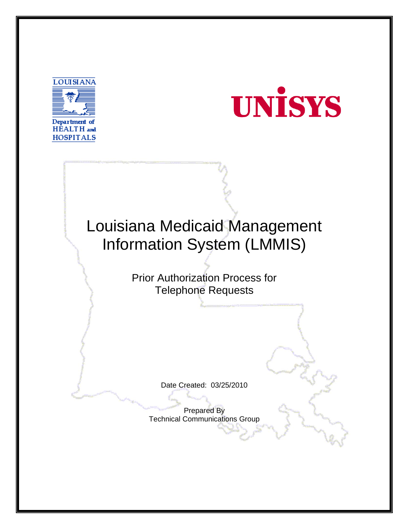



## Louisiana Medicaid Management Information System (LMMIS)

Prior Authorization Process for Telephone Requests

Date Created: 03/25/2010

Prepared By Technical Communications Group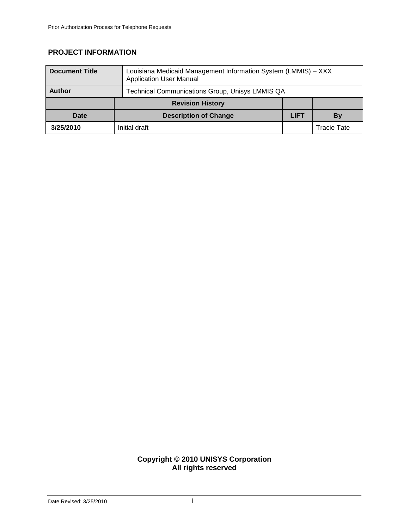## **PROJECT INFORMATION**

| <b>Document Title</b> | Louisiana Medicaid Management Information System (LMMIS) - XXX<br><b>Application User Manual</b> |             |             |
|-----------------------|--------------------------------------------------------------------------------------------------|-------------|-------------|
| <b>Author</b>         | Technical Communications Group, Unisys LMMIS QA                                                  |             |             |
|                       | <b>Revision History</b>                                                                          |             |             |
| Date                  | <b>Description of Change</b>                                                                     | <b>LIFT</b> | By          |
| 3/25/2010             | Initial draft                                                                                    |             | Tracie Tate |

## **Copyright © 2010 UNISYS Corporation All rights reserved**